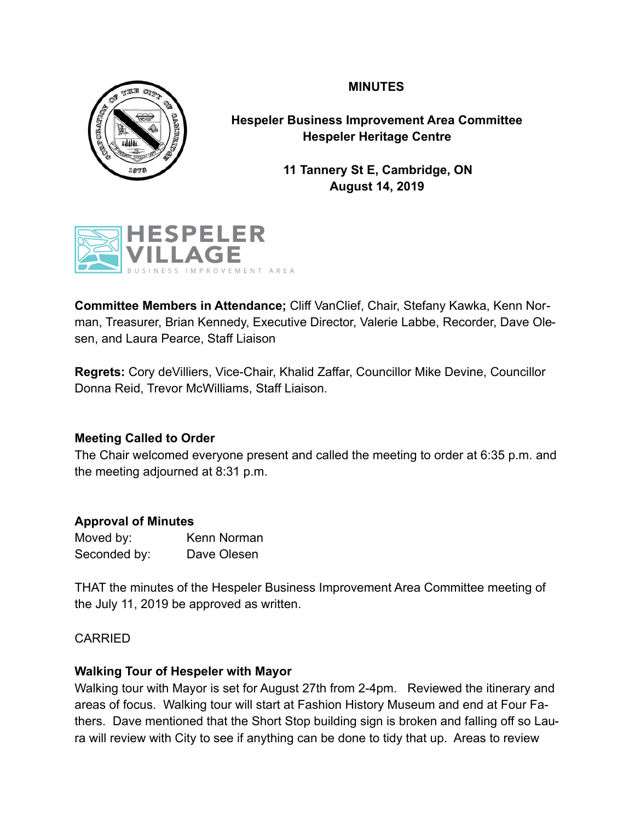# **MINUTES**



**Hespeler Business Improvement Area Committee Hespeler Heritage Centre** 

> **11 Tannery St E, Cambridge, ON August 14, 2019**



**Committee Members in Attendance;** Cliff VanClief, Chair, Stefany Kawka, Kenn Norman, Treasurer, Brian Kennedy, Executive Director, Valerie Labbe, Recorder, Dave Olesen, and Laura Pearce, Staff Liaison

**Regrets:** Cory deVilliers, Vice-Chair, Khalid Zaffar, Councillor Mike Devine, Councillor Donna Reid, Trevor McWilliams, Staff Liaison.

### **Meeting Called to Order**

The Chair welcomed everyone present and called the meeting to order at 6:35 p.m. and the meeting adjourned at 8:31 p.m.

### **Approval of Minutes**

Moved by: Kenn Norman Seconded by: Dave Olesen

THAT the minutes of the Hespeler Business Improvement Area Committee meeting of the July 11, 2019 be approved as written.

### CARRIED

# **Walking Tour of Hespeler with Mayor**

Walking tour with Mayor is set for August 27th from 2-4pm. Reviewed the itinerary and areas of focus. Walking tour will start at Fashion History Museum and end at Four Fathers. Dave mentioned that the Short Stop building sign is broken and falling off so Laura will review with City to see if anything can be done to tidy that up. Areas to review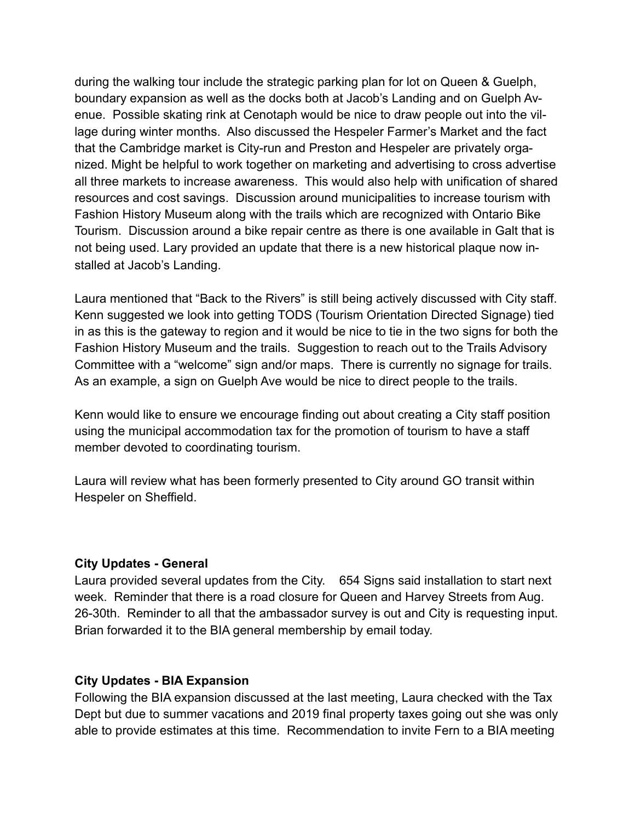during the walking tour include the strategic parking plan for lot on Queen & Guelph, boundary expansion as well as the docks both at Jacob's Landing and on Guelph Avenue. Possible skating rink at Cenotaph would be nice to draw people out into the village during winter months. Also discussed the Hespeler Farmer's Market and the fact that the Cambridge market is City-run and Preston and Hespeler are privately organized. Might be helpful to work together on marketing and advertising to cross advertise all three markets to increase awareness. This would also help with unification of shared resources and cost savings. Discussion around municipalities to increase tourism with Fashion History Museum along with the trails which are recognized with Ontario Bike Tourism. Discussion around a bike repair centre as there is one available in Galt that is not being used. Lary provided an update that there is a new historical plaque now installed at Jacob's Landing.

Laura mentioned that "Back to the Rivers" is still being actively discussed with City staff. Kenn suggested we look into getting TODS (Tourism Orientation Directed Signage) tied in as this is the gateway to region and it would be nice to tie in the two signs for both the Fashion History Museum and the trails. Suggestion to reach out to the Trails Advisory Committee with a "welcome" sign and/or maps. There is currently no signage for trails. As an example, a sign on Guelph Ave would be nice to direct people to the trails.

Kenn would like to ensure we encourage finding out about creating a City staff position using the municipal accommodation tax for the promotion of tourism to have a staff member devoted to coordinating tourism.

Laura will review what has been formerly presented to City around GO transit within Hespeler on Sheffield.

#### **City Updates - General**

Laura provided several updates from the City. 654 Signs said installation to start next week. Reminder that there is a road closure for Queen and Harvey Streets from Aug. 26-30th. Reminder to all that the ambassador survey is out and City is requesting input. Brian forwarded it to the BIA general membership by email today.

#### **City Updates - BIA Expansion**

Following the BIA expansion discussed at the last meeting, Laura checked with the Tax Dept but due to summer vacations and 2019 final property taxes going out she was only able to provide estimates at this time. Recommendation to invite Fern to a BIA meeting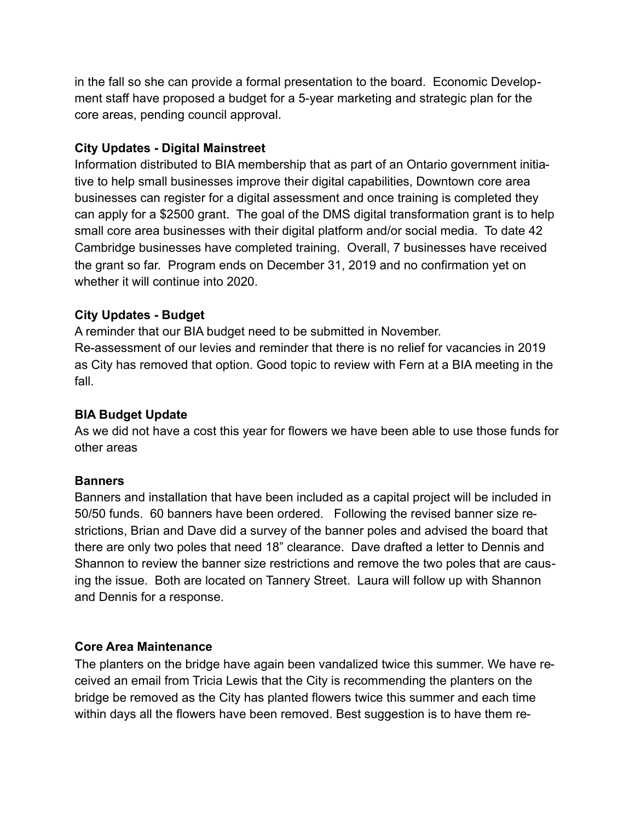in the fall so she can provide a formal presentation to the board. Economic Development staff have proposed a budget for a 5-year marketing and strategic plan for the core areas, pending council approval.

### **City Updates - Digital Mainstreet**

Information distributed to BIA membership that as part of an Ontario government initiative to help small businesses improve their digital capabilities, Downtown core area businesses can register for a digital assessment and once training is completed they can apply for a \$2500 grant. The goal of the DMS digital transformation grant is to help small core area businesses with their digital platform and/or social media. To date 42 Cambridge businesses have completed training. Overall, 7 businesses have received the grant so far. Program ends on December 31, 2019 and no confirmation yet on whether it will continue into 2020.

### **City Updates - Budget**

A reminder that our BIA budget need to be submitted in November. Re-assessment of our levies and reminder that there is no relief for vacancies in 2019 as City has removed that option. Good topic to review with Fern at a BIA meeting in the fall.

# **BIA Budget Update**

As we did not have a cost this year for flowers we have been able to use those funds for other areas

### **Banners**

Banners and installation that have been included as a capital project will be included in 50/50 funds. 60 banners have been ordered. Following the revised banner size restrictions, Brian and Dave did a survey of the banner poles and advised the board that there are only two poles that need 18" clearance. Dave drafted a letter to Dennis and Shannon to review the banner size restrictions and remove the two poles that are causing the issue. Both are located on Tannery Street. Laura will follow up with Shannon and Dennis for a response.

### **Core Area Maintenance**

The planters on the bridge have again been vandalized twice this summer. We have received an email from Tricia Lewis that the City is recommending the planters on the bridge be removed as the City has planted flowers twice this summer and each time within days all the flowers have been removed. Best suggestion is to have them re-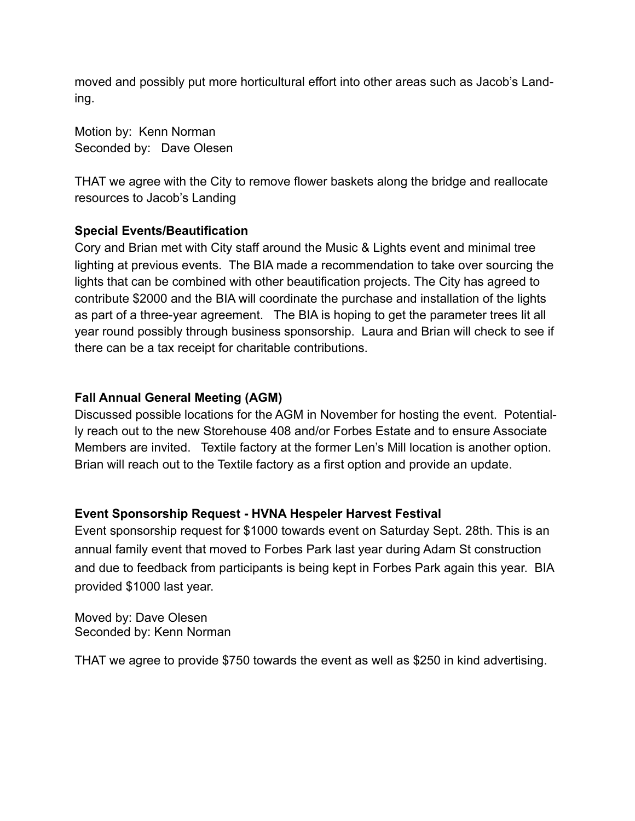moved and possibly put more horticultural effort into other areas such as Jacob's Landing.

Motion by: Kenn Norman Seconded by: Dave Olesen

THAT we agree with the City to remove flower baskets along the bridge and reallocate resources to Jacob's Landing

### **Special Events/Beautification**

Cory and Brian met with City staff around the Music & Lights event and minimal tree lighting at previous events. The BIA made a recommendation to take over sourcing the lights that can be combined with other beautification projects. The City has agreed to contribute \$2000 and the BIA will coordinate the purchase and installation of the lights as part of a three-year agreement. The BIA is hoping to get the parameter trees lit all year round possibly through business sponsorship. Laura and Brian will check to see if there can be a tax receipt for charitable contributions.

### **Fall Annual General Meeting (AGM)**

Discussed possible locations for the AGM in November for hosting the event. Potentially reach out to the new Storehouse 408 and/or Forbes Estate and to ensure Associate Members are invited. Textile factory at the former Len's Mill location is another option. Brian will reach out to the Textile factory as a first option and provide an update.

### **Event Sponsorship Request - HVNA Hespeler Harvest Festival**

Event sponsorship request for \$1000 towards event on Saturday Sept. 28th. This is an annual family event that moved to Forbes Park last year during Adam St construction and due to feedback from participants is being kept in Forbes Park again this year. BIA provided \$1000 last year.

Moved by: Dave Olesen Seconded by: Kenn Norman

THAT we agree to provide \$750 towards the event as well as \$250 in kind advertising.